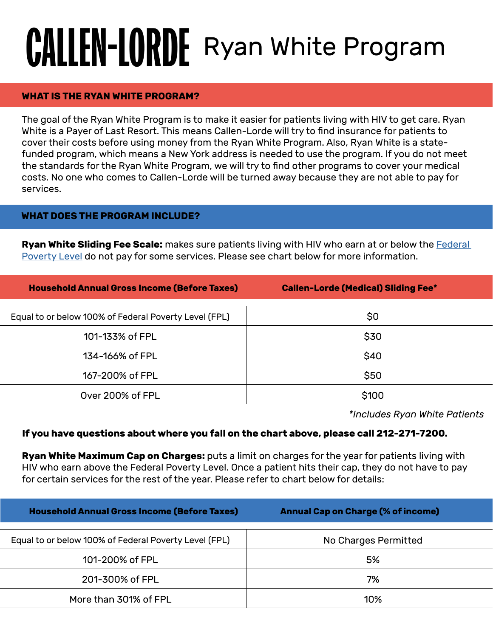# **CALLEN-LORDE** Ryan White Program

### **WHAT IS THE RYAN WHITE PROGRAM?**

The goal of the Ryan White Program is to make it easier for patients living with HIV to get care. Ryan White is a Payer of Last Resort. This means Callen-Lorde will try to find insurance for patients to cover their costs before using money from the Ryan White Program. Also, Ryan White is a statefunded program, which means a New York address is needed to use the program. If you do not meet the standards for the Ryan White Program, we will try to find other programs to cover your medical costs. No one who comes to Callen-Lorde will be turned away because they are not able to pay for services.

### **WHAT DOES THE PROGRAM INCLUDE?**

**Ryan White Sliding Fee Scale:** makes sure patients living with HIV who earn at or below the **Federal** [Poverty Level](https://aspe.hhs.gov/poverty-guidelines) do not pay for some services. Please see chart below for more information.

| <b>Household Annual Gross Income (Before Taxes)</b>   | <b>Callen-Lorde (Medical) Sliding Fee*</b> |
|-------------------------------------------------------|--------------------------------------------|
|                                                       |                                            |
| Equal to or below 100% of Federal Poverty Level (FPL) | \$0                                        |
| 101-133% of FPL                                       | \$30                                       |
| 134-166% of FPL                                       | \$40                                       |
| 167-200% of FPL                                       | \$50                                       |
| Over 200% of FPL                                      | \$100                                      |

*\*Includes Ryan White Patients*

#### **If you have questions about where you fall on the chart above, please call 212-271-7200.**

**Ryan White Maximum Cap on Charges:** puts a limit on charges for the year for patients living with HIV who earn above the Federal Poverty Level. Once a patient hits their cap, they do not have to pay for certain services for the rest of the year. Please refer to chart below for details:

| <b>Household Annual Gross Income (Before Taxes)</b>   | <b>Annual Cap on Charge (% of income)</b> |
|-------------------------------------------------------|-------------------------------------------|
| Equal to or below 100% of Federal Poverty Level (FPL) | No Charges Permitted                      |
| 101-200% of FPL                                       | 5%                                        |
| 201-300% of FPL                                       | 7%                                        |
| More than 301% of FPL                                 | 10%                                       |